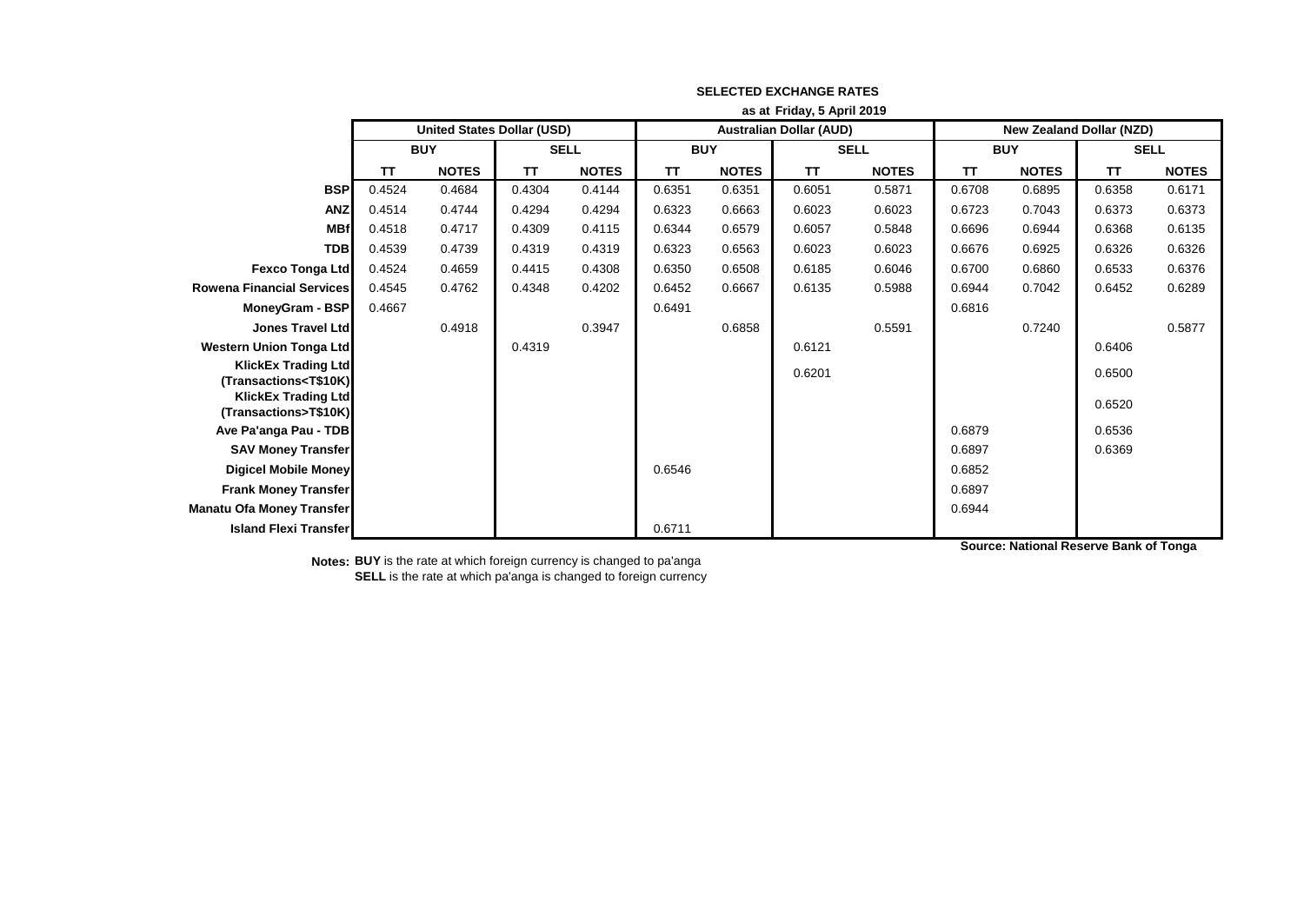|                                                                                                                                                       | as at Friday, 5 April 2019 |                                   |             |              |                                |              |             |              |                                 |              |             |              |
|-------------------------------------------------------------------------------------------------------------------------------------------------------|----------------------------|-----------------------------------|-------------|--------------|--------------------------------|--------------|-------------|--------------|---------------------------------|--------------|-------------|--------------|
|                                                                                                                                                       |                            | <b>United States Dollar (USD)</b> |             |              | <b>Australian Dollar (AUD)</b> |              |             |              | <b>New Zealand Dollar (NZD)</b> |              |             |              |
|                                                                                                                                                       | <b>BUY</b>                 |                                   | <b>SELL</b> |              | <b>BUY</b>                     |              | <b>SELL</b> |              | <b>BUY</b>                      |              | <b>SELL</b> |              |
|                                                                                                                                                       | TΤ                         | <b>NOTES</b>                      | <b>TT</b>   | <b>NOTES</b> | TΤ                             | <b>NOTES</b> | <b>TT</b>   | <b>NOTES</b> | <b>TT</b>                       | <b>NOTES</b> | TT          | <b>NOTES</b> |
| <b>BSP</b>                                                                                                                                            | 0.4524                     | 0.4684                            | 0.4304      | 0.4144       | 0.6351                         | 0.6351       | 0.6051      | 0.5871       | 0.6708                          | 0.6895       | 0.6358      | 0.6171       |
| <b>ANZ</b>                                                                                                                                            | 0.4514                     | 0.4744                            | 0.4294      | 0.4294       | 0.6323                         | 0.6663       | 0.6023      | 0.6023       | 0.6723                          | 0.7043       | 0.6373      | 0.6373       |
| <b>MBf</b>                                                                                                                                            | 0.4518                     | 0.4717                            | 0.4309      | 0.4115       | 0.6344                         | 0.6579       | 0.6057      | 0.5848       | 0.6696                          | 0.6944       | 0.6368      | 0.6135       |
| <b>TDB</b>                                                                                                                                            | 0.4539                     | 0.4739                            | 0.4319      | 0.4319       | 0.6323                         | 0.6563       | 0.6023      | 0.6023       | 0.6676                          | 0.6925       | 0.6326      | 0.6326       |
| Fexco Tonga Ltd                                                                                                                                       | 0.4524                     | 0.4659                            | 0.4415      | 0.4308       | 0.6350                         | 0.6508       | 0.6185      | 0.6046       | 0.6700                          | 0.6860       | 0.6533      | 0.6376       |
| <b>Rowena Financial Services</b>                                                                                                                      | 0.4545                     | 0.4762                            | 0.4348      | 0.4202       | 0.6452                         | 0.6667       | 0.6135      | 0.5988       | 0.6944                          | 0.7042       | 0.6452      | 0.6289       |
| MoneyGram - BSP                                                                                                                                       | 0.4667                     |                                   |             |              | 0.6491                         |              |             |              | 0.6816                          |              |             |              |
| <b>Jones Travel Ltd</b>                                                                                                                               |                            | 0.4918                            |             | 0.3947       |                                | 0.6858       |             | 0.5591       |                                 | 0.7240       |             | 0.5877       |
| <b>Western Union Tonga Ltd</b>                                                                                                                        |                            |                                   | 0.4319      |              |                                |              | 0.6121      |              |                                 |              | 0.6406      |              |
| <b>KlickEx Trading Ltd</b>                                                                                                                            |                            |                                   |             |              |                                |              | 0.6201      |              |                                 |              | 0.6500      |              |
| (Transactions <t\$10k)< th=""><th></th><th></th><th></th><th></th><th></th><th></th><th></th><th></th><th></th><th></th><th></th><th></th></t\$10k)<> |                            |                                   |             |              |                                |              |             |              |                                 |              |             |              |
| <b>KlickEx Trading Ltd</b><br>(Transactions>T\$10K)                                                                                                   |                            |                                   |             |              |                                |              |             |              |                                 |              | 0.6520      |              |
| Ave Pa'anga Pau - TDB                                                                                                                                 |                            |                                   |             |              |                                |              |             |              | 0.6879                          |              | 0.6536      |              |
| <b>SAV Money Transfer</b>                                                                                                                             |                            |                                   |             |              |                                |              |             |              | 0.6897                          |              | 0.6369      |              |
| <b>Digicel Mobile Money</b>                                                                                                                           |                            |                                   |             |              | 0.6546                         |              |             |              | 0.6852                          |              |             |              |
| <b>Frank Money Transfer</b>                                                                                                                           |                            |                                   |             |              |                                |              |             |              | 0.6897                          |              |             |              |
| <b>Manatu Ofa Money Transfer</b>                                                                                                                      |                            |                                   |             |              |                                |              |             |              | 0.6944                          |              |             |              |
| <b>Island Flexi Transfer</b>                                                                                                                          |                            |                                   |             |              | 0.6711                         |              |             |              |                                 |              |             |              |

## **SELECTED EXCHANGE RATES**

**Source: National Reserve Bank of Tonga**

**Notes: BUY** is the rate at which foreign currency is changed to pa'anga **SELL** is the rate at which pa'anga is changed to foreign currency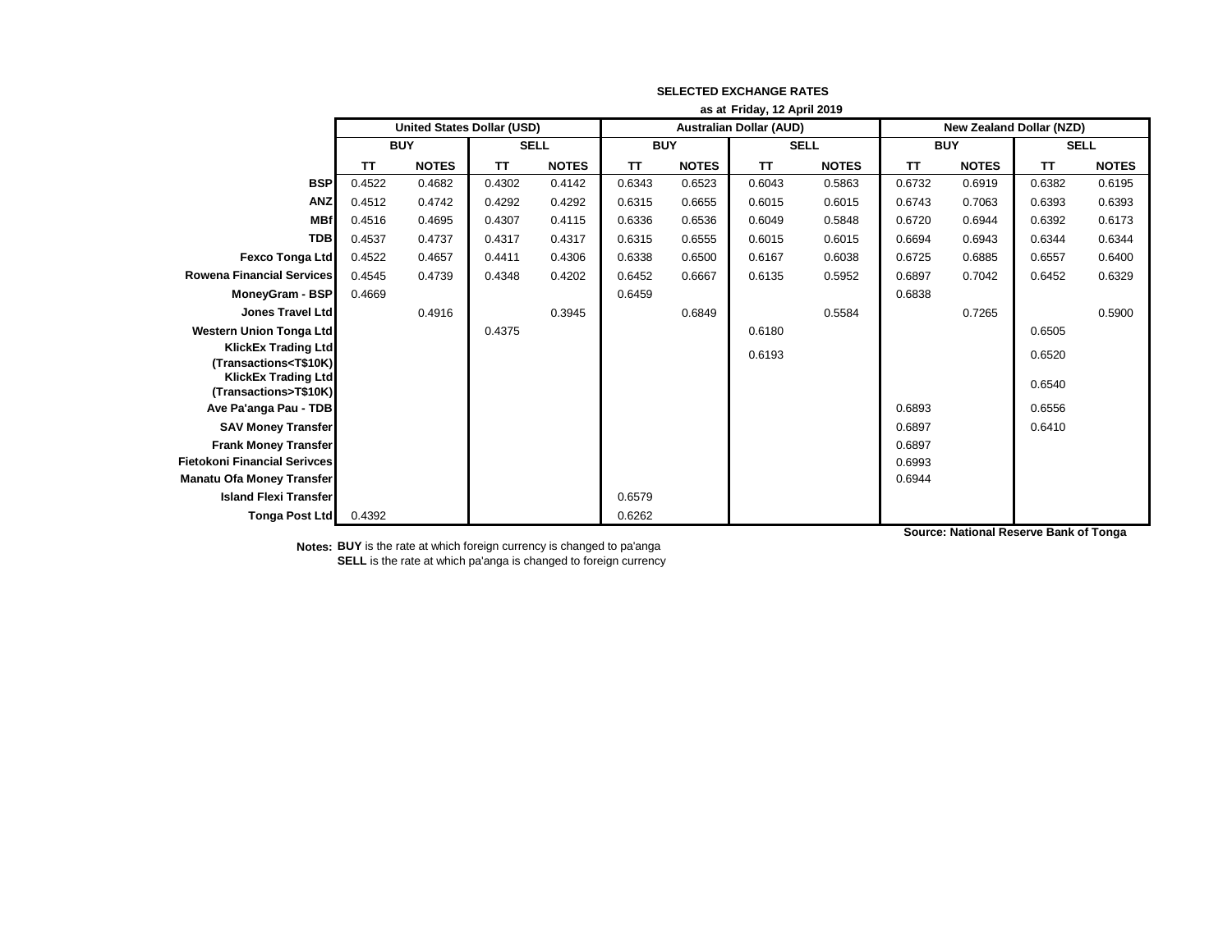|                                                                   | as at Friday, 12 April 2019 |                                   |             |              |                                |              |             |              |                                 |              |             |              |
|-------------------------------------------------------------------|-----------------------------|-----------------------------------|-------------|--------------|--------------------------------|--------------|-------------|--------------|---------------------------------|--------------|-------------|--------------|
|                                                                   |                             | <b>United States Dollar (USD)</b> |             |              | <b>Australian Dollar (AUD)</b> |              |             |              | <b>New Zealand Dollar (NZD)</b> |              |             |              |
|                                                                   | <b>BUY</b>                  |                                   | <b>SELL</b> |              | <b>BUY</b>                     |              | <b>SELL</b> |              | <b>BUY</b>                      |              | <b>SELL</b> |              |
|                                                                   | ΤT                          | <b>NOTES</b>                      | TT          | <b>NOTES</b> | <b>TT</b>                      | <b>NOTES</b> | TT          | <b>NOTES</b> | TΤ                              | <b>NOTES</b> | <b>TT</b>   | <b>NOTES</b> |
| <b>BSP</b>                                                        | 0.4522                      | 0.4682                            | 0.4302      | 0.4142       | 0.6343                         | 0.6523       | 0.6043      | 0.5863       | 0.6732                          | 0.6919       | 0.6382      | 0.6195       |
| <b>ANZ</b>                                                        | 0.4512                      | 0.4742                            | 0.4292      | 0.4292       | 0.6315                         | 0.6655       | 0.6015      | 0.6015       | 0.6743                          | 0.7063       | 0.6393      | 0.6393       |
| <b>MBf</b>                                                        | 0.4516                      | 0.4695                            | 0.4307      | 0.4115       | 0.6336                         | 0.6536       | 0.6049      | 0.5848       | 0.6720                          | 0.6944       | 0.6392      | 0.6173       |
| <b>TDB</b>                                                        | 0.4537                      | 0.4737                            | 0.4317      | 0.4317       | 0.6315                         | 0.6555       | 0.6015      | 0.6015       | 0.6694                          | 0.6943       | 0.6344      | 0.6344       |
| Fexco Tonga Ltd                                                   | 0.4522                      | 0.4657                            | 0.4411      | 0.4306       | 0.6338                         | 0.6500       | 0.6167      | 0.6038       | 0.6725                          | 0.6885       | 0.6557      | 0.6400       |
| <b>Rowena Financial Services</b>                                  | 0.4545                      | 0.4739                            | 0.4348      | 0.4202       | 0.6452                         | 0.6667       | 0.6135      | 0.5952       | 0.6897                          | 0.7042       | 0.6452      | 0.6329       |
| MoneyGram - BSP                                                   | 0.4669                      |                                   |             |              | 0.6459                         |              |             |              | 0.6838                          |              |             |              |
| <b>Jones Travel Ltd</b>                                           |                             | 0.4916                            |             | 0.3945       |                                | 0.6849       |             | 0.5584       |                                 | 0.7265       |             | 0.5900       |
| <b>Western Union Tonga Ltd</b>                                    |                             |                                   | 0.4375      |              |                                |              | 0.6180      |              |                                 |              | 0.6505      |              |
| <b>KlickEx Trading Ltd</b>                                        |                             |                                   |             |              |                                |              | 0.6193      |              |                                 |              | 0.6520      |              |
| (Transactions <t\$10k)<br><b>KlickEx Trading Ltd</b></t\$10k)<br> |                             |                                   |             |              |                                |              |             |              |                                 |              |             |              |
| (Transactions>T\$10K)                                             |                             |                                   |             |              |                                |              |             |              |                                 |              | 0.6540      |              |
| Ave Pa'anga Pau - TDB                                             |                             |                                   |             |              |                                |              |             |              | 0.6893                          |              | 0.6556      |              |
| <b>SAV Money Transfer</b>                                         |                             |                                   |             |              |                                |              |             |              | 0.6897                          |              | 0.6410      |              |
| <b>Frank Money Transfer</b>                                       |                             |                                   |             |              |                                |              |             |              | 0.6897                          |              |             |              |
| <b>Fietokoni Financial Serivces</b>                               |                             |                                   |             |              |                                |              |             |              | 0.6993                          |              |             |              |
| <b>Manatu Ofa Money Transfer</b>                                  |                             |                                   |             |              |                                |              |             |              | 0.6944                          |              |             |              |
| <b>Island Flexi Transfer</b>                                      |                             |                                   |             |              | 0.6579                         |              |             |              |                                 |              |             |              |
| <b>Tonga Post Ltd</b>                                             | 0.4392                      |                                   |             |              | 0.6262                         |              |             |              |                                 |              |             |              |

## **SELECTED EXCHANGE RATES**

**Notes: BUY** is the rate at which foreign currency is changed to pa'anga **SELL** is the rate at which pa'anga is changed to foreign currency **Source: National Reserve Bank of Tonga**